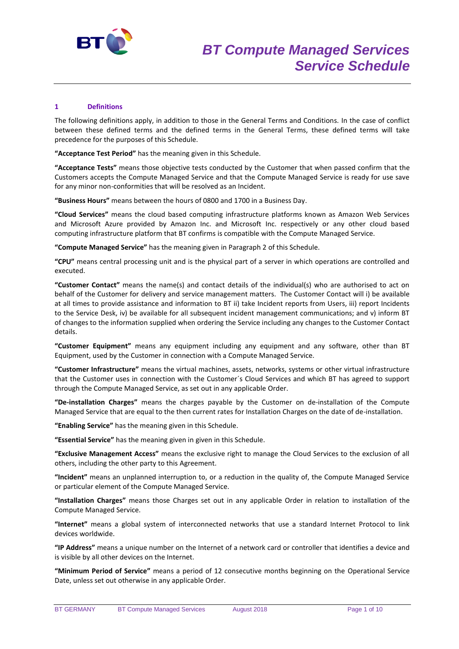

# **1 Definitions**

The following definitions apply, in addition to those in the General Terms and Conditions. In the case of conflict between these defined terms and the defined terms in the General Terms, these defined terms will take precedence for the purposes of this Schedule.

**"Acceptance Test Period"** has the meaning given in this Schedule.

**"Acceptance Tests"** means those objective tests conducted by the Customer that when passed confirm that the Customers accepts the Compute Managed Service and that the Compute Managed Service is ready for use save for any minor non-conformities that will be resolved as an Incident.

**"Business Hours"** means between the hours of 0800 and 1700 in a Business Day.

**"Cloud Services"** means the cloud based computing infrastructure platforms known as Amazon Web Services and Microsoft Azure provided by Amazon Inc. and Microsoft Inc. respectively or any other cloud based computing infrastructure platform that BT confirms is compatible with the Compute Managed Service.

**"Compute Managed Service"** has the meaning given in Paragraph 2 of this Schedule.

**"CPU"** means central processing unit and is the physical part of a server in which operations are controlled and executed.

**"Customer Contact"** means the name(s) and contact details of the individual(s) who are authorised to act on behalf of the Customer for delivery and service management matters. The Customer Contact will i) be available at all times to provide assistance and information to BT ii) take Incident reports from Users, iii) report Incidents to the Service Desk, iv) be available for all subsequent incident management communications; and v) inform BT of changes to the information supplied when ordering the Service including any changes to the Customer Contact details.

**"Customer Equipment"** means any equipment including any equipment and any software, other than BT Equipment, used by the Customer in connection with a Compute Managed Service.

**"Customer Infrastructure"** means the virtual machines, assets, networks, systems or other virtual infrastructure that the Customer uses in connection with the Customer´s Cloud Services and which BT has agreed to support through the Compute Managed Service, as set out in any applicable Order.

**"De-installation Charges"** means the charges payable by the Customer on de-installation of the Compute Managed Service that are equal to the then current rates for Installation Charges on the date of de-installation.

**"Enabling Service"** has the meaning given in this Schedule.

**"Essential Service"** has the meaning given in given in this Schedule.

**"Exclusive Management Access"** means the exclusive right to manage the Cloud Services to the exclusion of all others, including the other party to this Agreement.

**"Incident"** means an unplanned interruption to, or a reduction in the quality of, the Compute Managed Service or particular element of the Compute Managed Service.

**"Installation Charges"** means those Charges set out in any applicable Order in relation to installation of the Compute Managed Service.

**"Internet"** means a global system of interconnected networks that use a standard Internet Protocol to link devices worldwide.

**"IP Address"** means a unique number on the Internet of a network card or controller that identifies a device and is visible by all other devices on the Internet.

**"Minimum Period of Service"** means a period of 12 consecutive months beginning on the Operational Service Date, unless set out otherwise in any applicable Order.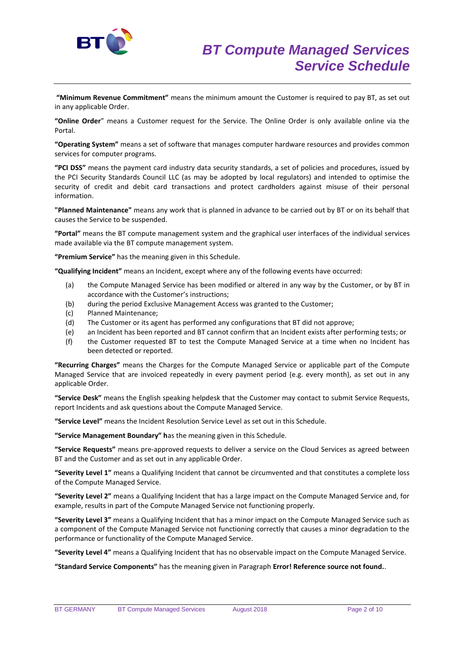

**"Minimum Revenue Commitment"** means the minimum amount the Customer is required to pay BT, as set out in any applicable Order.

**"Online Order**" means a Customer request for the Service. The Online Order is only available online via the Portal.

**"Operating System"** means a set of software that manages computer hardware resources and provides common services for computer programs.

**"PCI DSS"** means the payment card industry data security standards, a set of policies and procedures, issued by the PCI Security Standards Council LLC (as may be adopted by local regulators) and intended to optimise the security of credit and debit card transactions and protect cardholders against misuse of their personal information.

**"Planned Maintenance"** means any work that is planned in advance to be carried out by BT or on its behalf that causes the Service to be suspended.

**"Portal"** means the BT compute management system and the graphical user interfaces of the individual services made available via the BT compute management system.

**"Premium Service"** has the meaning given in this Schedule.

**"Qualifying Incident"** means an Incident, except where any of the following events have occurred:

- (a) the Compute Managed Service has been modified or altered in any way by the Customer, or by BT in accordance with the Customer's instructions;
- (b) during the period Exclusive Management Access was granted to the Customer;
- (c) Planned Maintenance;
- (d) The Customer or its agent has performed any configurations that BT did not approve;
- (e) an Incident has been reported and BT cannot confirm that an Incident exists after performing tests; or
- (f) the Customer requested BT to test the Compute Managed Service at a time when no Incident has been detected or reported.

**"Recurring Charges"** means the Charges for the Compute Managed Service or applicable part of the Compute Managed Service that are invoiced repeatedly in every payment period (e.g. every month), as set out in any applicable Order.

**"Service Desk"** means the English speaking helpdesk that the Customer may contact to submit Service Requests, report Incidents and ask questions about the Compute Managed Service.

**"Service Level"** means the Incident Resolution Service Level as set out in this Schedule.

**"Service Management Boundary" h**as the meaning given in this Schedule.

**"Service Requests"** means pre-approved requests to deliver a service on the Cloud Services as agreed between BT and the Customer and as set out in any applicable Order.

**"Severity Level 1"** means a Qualifying Incident that cannot be circumvented and that constitutes a complete loss of the Compute Managed Service.

**"Severity Level 2"** means a Qualifying Incident that has a large impact on the Compute Managed Service and, for example, results in part of the Compute Managed Service not functioning properly.

**"Severity Level 3"** means a Qualifying Incident that has a minor impact on the Compute Managed Service such as a component of the Compute Managed Service not functioning correctly that causes a minor degradation to the performance or functionality of the Compute Managed Service.

**"Severity Level 4"** means a Qualifying Incident that has no observable impact on the Compute Managed Service.

**"Standard Service Components"** has the meaning given in Paragraph **Error! Reference source not found.**.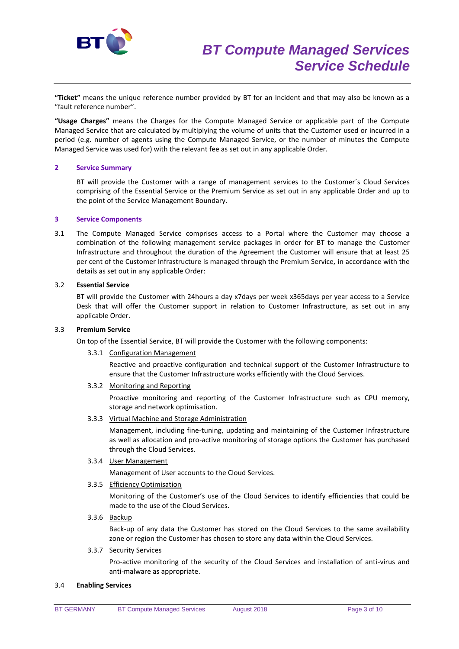

**"Ticket"** means the unique reference number provided by BT for an Incident and that may also be known as a "fault reference number".

**"Usage Charges"** means the Charges for the Compute Managed Service or applicable part of the Compute Managed Service that are calculated by multiplying the volume of units that the Customer used or incurred in a period (e.g. number of agents using the Compute Managed Service, or the number of minutes the Compute Managed Service was used for) with the relevant fee as set out in any applicable Order.

## **2 Service Summary**

BT will provide the Customer with a range of management services to the Customer´s Cloud Services comprising of the Essential Service or the Premium Service as set out in any applicable Order and up to the point of the Service Management Boundary.

### **3 Service Components**

3.1 The Compute Managed Service comprises access to a Portal where the Customer may choose a combination of the following management service packages in order for BT to manage the Customer Infrastructure and throughout the duration of the Agreement the Customer will ensure that at least 25 per cent of the Customer Infrastructure is managed through the Premium Service, in accordance with the details as set out in any applicable Order:

## 3.2 **Essential Service**

BT will provide the Customer with 24hours a day x7days per week x365days per year access to a Service Desk that will offer the Customer support in relation to Customer Infrastructure, as set out in any applicable Order.

### 3.3 **Premium Service**

On top of the Essential Service, BT will provide the Customer with the following components:

3.3.1 Configuration Management

Reactive and proactive configuration and technical support of the Customer Infrastructure to ensure that the Customer Infrastructure works efficiently with the Cloud Services.

3.3.2 Monitoring and Reporting

Proactive monitoring and reporting of the Customer Infrastructure such as CPU memory, storage and network optimisation.

3.3.3 Virtual Machine and Storage Administration

Management, including fine-tuning, updating and maintaining of the Customer Infrastructure as well as allocation and pro-active monitoring of storage options the Customer has purchased through the Cloud Services.

3.3.4 User Management

Management of User accounts to the Cloud Services.

3.3.5 Efficiency Optimisation

Monitoring of the Customer's use of the Cloud Services to identify efficiencies that could be made to the use of the Cloud Services.

3.3.6 Backup

Back-up of any data the Customer has stored on the Cloud Services to the same availability zone or region the Customer has chosen to store any data within the Cloud Services.

### 3.3.7 Security Services

Pro-active monitoring of the security of the Cloud Services and installation of anti-virus and anti-malware as appropriate.

### 3.4 **Enabling Services**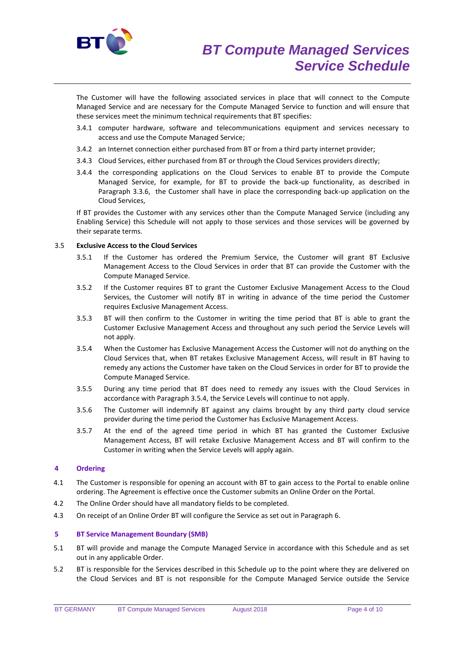

The Customer will have the following associated services in place that will connect to the Compute Managed Service and are necessary for the Compute Managed Service to function and will ensure that these services meet the minimum technical requirements that BT specifies:

- 3.4.1 computer hardware, software and telecommunications equipment and services necessary to access and use the Compute Managed Service;
- 3.4.2 an Internet connection either purchased from BT or from a third party internet provider;
- 3.4.3 Cloud Services, either purchased from BT or through the Cloud Services providers directly;
- 3.4.4 the corresponding applications on the Cloud Services to enable BT to provide the Compute Managed Service, for example, for BT to provide the back-up functionality, as described in Paragraph 3.3.6, the Customer shall have in place the corresponding back-up application on the Cloud Services,

If BT provides the Customer with any services other than the Compute Managed Service (including any Enabling Service) this Schedule will not apply to those services and those services will be governed by their separate terms.

## 3.5 **Exclusive Access to the Cloud Services**

- 3.5.1 If the Customer has ordered the Premium Service, the Customer will grant BT Exclusive Management Access to the Cloud Services in order that BT can provide the Customer with the Compute Managed Service.
- 3.5.2 If the Customer requires BT to grant the Customer Exclusive Management Access to the Cloud Services, the Customer will notify BT in writing in advance of the time period the Customer requires Exclusive Management Access.
- 3.5.3 BT will then confirm to the Customer in writing the time period that BT is able to grant the Customer Exclusive Management Access and throughout any such period the Service Levels will not apply.
- 3.5.4 When the Customer has Exclusive Management Access the Customer will not do anything on the Cloud Services that, when BT retakes Exclusive Management Access, will result in BT having to remedy any actions the Customer have taken on the Cloud Services in order for BT to provide the Compute Managed Service.
- 3.5.5 During any time period that BT does need to remedy any issues with the Cloud Services in accordance with Paragraph 3.5.4, the Service Levels will continue to not apply.
- 3.5.6 The Customer will indemnify BT against any claims brought by any third party cloud service provider during the time period the Customer has Exclusive Management Access.
- 3.5.7 At the end of the agreed time period in which BT has granted the Customer Exclusive Management Access, BT will retake Exclusive Management Access and BT will confirm to the Customer in writing when the Service Levels will apply again.

# **4 Ordering**

- 4.1 The Customer is responsible for opening an account with BT to gain access to the Portal to enable online ordering. The Agreement is effective once the Customer submits an Online Order on the Portal.
- 4.2 The Online Order should have all mandatory fields to be completed.
- 4.3 On receipt of an Online Order BT will configure the Service as set out in Paragraph 6.

# **5 BT Service Management Boundary (SMB)**

- 5.1 BT will provide and manage the Compute Managed Service in accordance with this Schedule and as set out in any applicable Order.
- 5.2 BT is responsible for the Services described in this Schedule up to the point where they are delivered on the Cloud Services and BT is not responsible for the Compute Managed Service outside the Service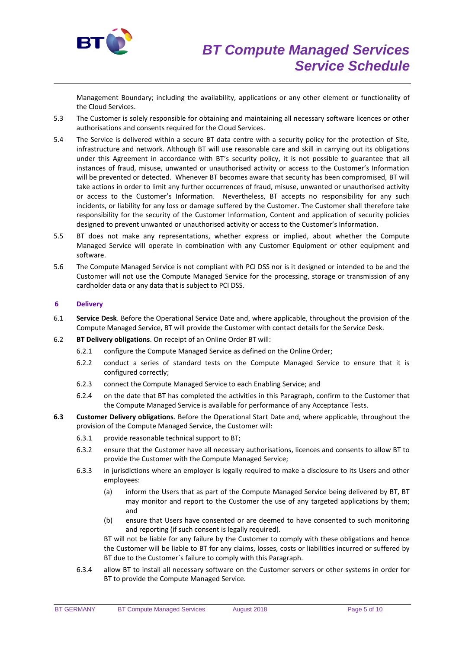

Management Boundary; including the availability, applications or any other element or functionality of the Cloud Services.

- 5.3 The Customer is solely responsible for obtaining and maintaining all necessary software licences or other authorisations and consents required for the Cloud Services.
- 5.4 The Service is delivered within a secure BT data centre with a security policy for the protection of Site, infrastructure and network. Although BT will use reasonable care and skill in carrying out its obligations under this Agreement in accordance with BT's security policy, it is not possible to guarantee that all instances of fraud, misuse, unwanted or unauthorised activity or access to the Customer's Information will be prevented or detected. Whenever BT becomes aware that security has been compromised, BT will take actions in order to limit any further occurrences of fraud, misuse, unwanted or unauthorised activity or access to the Customer's Information. Nevertheless, BT accepts no responsibility for any such incidents, or liability for any loss or damage suffered by the Customer. The Customer shall therefore take responsibility for the security of the Customer Information, Content and application of security policies designed to prevent unwanted or unauthorised activity or access to the Customer's Information.
- 5.5 BT does not make any representations, whether express or implied, about whether the Compute Managed Service will operate in combination with any Customer Equipment or other equipment and software.
- 5.6 The Compute Managed Service is not compliant with PCI DSS nor is it designed or intended to be and the Customer will not use the Compute Managed Service for the processing, storage or transmission of any cardholder data or any data that is subject to PCI DSS.

# **6 Delivery**

- 6.1 **Service Desk**. Before the Operational Service Date and, where applicable, throughout the provision of the Compute Managed Service, BT will provide the Customer with contact details for the Service Desk.
- 6.2 **BT Delivery obligations**. On receipt of an Online Order BT will:
	- 6.2.1 configure the Compute Managed Service as defined on the Online Order;
	- 6.2.2 conduct a series of standard tests on the Compute Managed Service to ensure that it is configured correctly;
	- 6.2.3 connect the Compute Managed Service to each Enabling Service; and
	- 6.2.4 on the date that BT has completed the activities in this Paragraph, confirm to the Customer that the Compute Managed Service is available for performance of any Acceptance Tests.
- **6.3 Customer Delivery obligations**. Before the Operational Start Date and, where applicable, throughout the provision of the Compute Managed Service, the Customer will:
	- 6.3.1 provide reasonable technical support to BT;
	- 6.3.2 ensure that the Customer have all necessary authorisations, licences and consents to allow BT to provide the Customer with the Compute Managed Service;
	- 6.3.3 in jurisdictions where an employer is legally required to make a disclosure to its Users and other employees:
		- (a) inform the Users that as part of the Compute Managed Service being delivered by BT, BT may monitor and report to the Customer the use of any targeted applications by them; and
		- (b) ensure that Users have consented or are deemed to have consented to such monitoring and reporting (if such consent is legally required).

BT will not be liable for any failure by the Customer to comply with these obligations and hence the Customer will be liable to BT for any claims, losses, costs or liabilities incurred or suffered by BT due to the Customer´s failure to comply with this Paragraph.

6.3.4 allow BT to install all necessary software on the Customer servers or other systems in order for BT to provide the Compute Managed Service.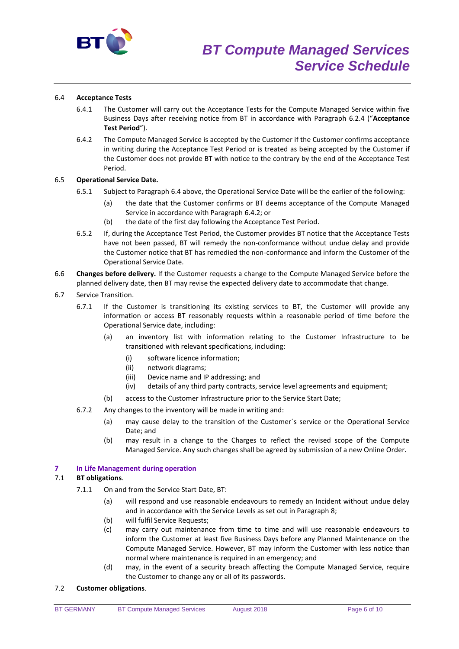

# 6.4 **Acceptance Tests**

- 6.4.1 The Customer will carry out the Acceptance Tests for the Compute Managed Service within five Business Days after receiving notice from BT in accordance with Paragraph 6.2.4 ("**Acceptance Test Period**").
- 6.4.2 The Compute Managed Service is accepted by the Customer if the Customer confirms acceptance in writing during the Acceptance Test Period or is treated as being accepted by the Customer if the Customer does not provide BT with notice to the contrary by the end of the Acceptance Test Period.

## 6.5 **Operational Service Date.**

- 6.5.1 Subject to Paragraph 6.4 above, the Operational Service Date will be the earlier of the following:
	- (a) the date that the Customer confirms or BT deems acceptance of the Compute Managed Service in accordance with Paragraph 6.4.2; or
	- (b) the date of the first day following the Acceptance Test Period.
- 6.5.2 If, during the Acceptance Test Period, the Customer provides BT notice that the Acceptance Tests have not been passed, BT will remedy the non-conformance without undue delay and provide the Customer notice that BT has remedied the non-conformance and inform the Customer of the Operational Service Date.
- 6.6 **Changes before delivery.** If the Customer requests a change to the Compute Managed Service before the planned delivery date, then BT may revise the expected delivery date to accommodate that change.
- 6.7 Service Transition.
	- 6.7.1 If the Customer is transitioning its existing services to BT, the Customer will provide any information or access BT reasonably requests within a reasonable period of time before the Operational Service date, including:
		- (a) an inventory list with information relating to the Customer Infrastructure to be transitioned with relevant specifications, including:
			- (i) software licence information;
			- (ii) network diagrams;
			- (iii) Device name and IP addressing; and
			- (iv) details of any third party contracts, service level agreements and equipment;
		- (b) access to the Customer Infrastructure prior to the Service Start Date;
	- 6.7.2 Any changes to the inventory will be made in writing and:
		- (a) may cause delay to the transition of the Customer´s service or the Operational Service Date; and
		- (b) may result in a change to the Charges to reflect the revised scope of the Compute Managed Service. Any such changes shall be agreed by submission of a new Online Order.

### **7 In Life Management during operation**

### 7.1 **BT obligations**.

- 7.1.1 On and from the Service Start Date, BT:
	- (a) will respond and use reasonable endeavours to remedy an Incident without undue delay and in accordance with the Service Levels as set out in Paragraph 8;
	- (b) will fulfil Service Requests;
	- (c) may carry out maintenance from time to time and will use reasonable endeavours to inform the Customer at least five Business Days before any Planned Maintenance on the Compute Managed Service. However, BT may inform the Customer with less notice than normal where maintenance is required in an emergency; and
	- (d) may, in the event of a security breach affecting the Compute Managed Service, require the Customer to change any or all of its passwords.

## 7.2 **Customer obligations**.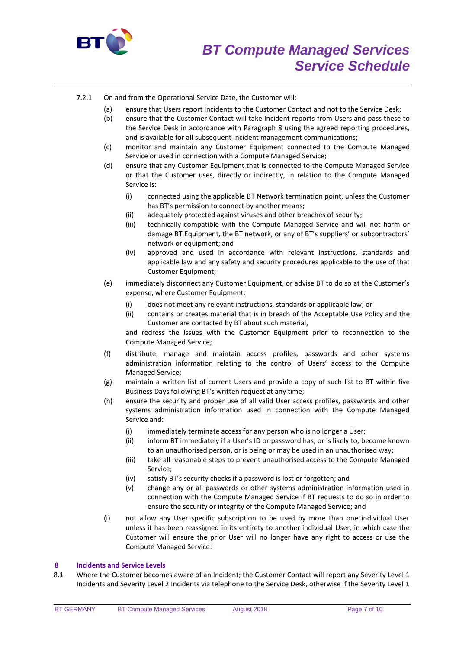

# 7.2.1 On and from the Operational Service Date, the Customer will:

- (a) ensure that Users report Incidents to the Customer Contact and not to the Service Desk;
	- (b) ensure that the Customer Contact will take Incident reports from Users and pass these to the Service Desk in accordance with Paragraph 8 using the agreed reporting procedures, and is available for all subsequent Incident management communications;
- (c) monitor and maintain any Customer Equipment connected to the Compute Managed Service or used in connection with a Compute Managed Service;
- (d) ensure that any Customer Equipment that is connected to the Compute Managed Service or that the Customer uses, directly or indirectly, in relation to the Compute Managed Service is:
	- (i) connected using the applicable BT Network termination point, unless the Customer has BT's permission to connect by another means;
	- (ii) adequately protected against viruses and other breaches of security;
	- (iii) technically compatible with the Compute Managed Service and will not harm or damage BT Equipment, the BT network, or any of BT's suppliers' or subcontractors' network or equipment; and
	- (iv) approved and used in accordance with relevant instructions, standards and applicable law and any safety and security procedures applicable to the use of that Customer Equipment;
- (e) immediately disconnect any Customer Equipment, or advise BT to do so at the Customer's expense, where Customer Equipment:
	- (i) does not meet any relevant instructions, standards or applicable law; or
	- (ii) contains or creates material that is in breach of the Acceptable Use Policy and the Customer are contacted by BT about such material,

and redress the issues with the Customer Equipment prior to reconnection to the Compute Managed Service;

- (f) distribute, manage and maintain access profiles, passwords and other systems administration information relating to the control of Users' access to the Compute Managed Service;
- (g) maintain a written list of current Users and provide a copy of such list to BT within five Business Days following BT's written request at any time;
- (h) ensure the security and proper use of all valid User access profiles, passwords and other systems administration information used in connection with the Compute Managed Service and:
	- (i) immediately terminate access for any person who is no longer a User;
	- (ii) inform BT immediately if a User's ID or password has, or is likely to, become known to an unauthorised person, or is being or may be used in an unauthorised way;
	- (iii) take all reasonable steps to prevent unauthorised access to the Compute Managed Service;
	- (iv) satisfy BT's security checks if a password is lost or forgotten; and
	- (v) change any or all passwords or other systems administration information used in connection with the Compute Managed Service if BT requests to do so in order to ensure the security or integrity of the Compute Managed Service; and
- (i) not allow any User specific subscription to be used by more than one individual User unless it has been reassigned in its entirety to another individual User, in which case the Customer will ensure the prior User will no longer have any right to access or use the Compute Managed Service:

### **8 Incidents and Service Levels**

8.1 Where the Customer becomes aware of an Incident; the Customer Contact will report any Severity Level 1 Incidents and Severity Level 2 Incidents via telephone to the Service Desk, otherwise if the Severity Level 1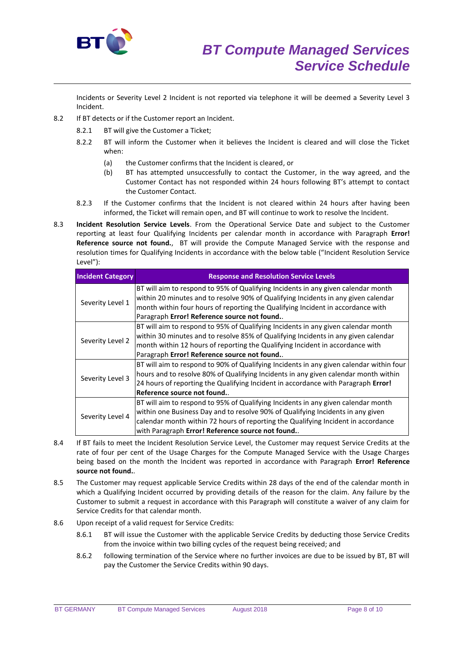

Incidents or Severity Level 2 Incident is not reported via telephone it will be deemed a Severity Level 3 Incident.

- 8.2 If BT detects or if the Customer report an Incident.
	- 8.2.1 BT will give the Customer a Ticket;
	- 8.2.2 BT will inform the Customer when it believes the Incident is cleared and will close the Ticket when:
		- (a) the Customer confirms that the Incident is cleared, or
		- (b) BT has attempted unsuccessfully to contact the Customer, in the way agreed, and the Customer Contact has not responded within 24 hours following BT's attempt to contact the Customer Contact.
	- 8.2.3 If the Customer confirms that the Incident is not cleared within 24 hours after having been informed, the Ticket will remain open, and BT will continue to work to resolve the Incident.
- 8.3 **Incident Resolution Service Levels**. From the Operational Service Date and subject to the Customer reporting at least four Qualifying Incidents per calendar month in accordance with Paragraph **Error! Reference source not found.**, BT will provide the Compute Managed Service with the response and resolution times for Qualifying Incidents in accordance with the below table ("Incident Resolution Service Level"):

| <b>Incident Category</b> | <b>Response and Resolution Service Levels</b>                                           |
|--------------------------|-----------------------------------------------------------------------------------------|
| Severity Level 1         | BT will aim to respond to 95% of Qualifying Incidents in any given calendar month       |
|                          | within 20 minutes and to resolve 90% of Qualifying Incidents in any given calendar      |
|                          | month within four hours of reporting the Qualifying Incident in accordance with         |
|                          | Paragraph Error! Reference source not found                                             |
| Severity Level 2         | BT will aim to respond to 95% of Qualifying Incidents in any given calendar month       |
|                          | within 30 minutes and to resolve 85% of Qualifying Incidents in any given calendar      |
|                          | month within 12 hours of reporting the Qualifying Incident in accordance with           |
|                          | Paragraph Error! Reference source not found                                             |
| Severity Level 3         | BT will aim to respond to 90% of Qualifying Incidents in any given calendar within four |
|                          | hours and to resolve 80% of Qualifying Incidents in any given calendar month within     |
|                          | 24 hours of reporting the Qualifying Incident in accordance with Paragraph Error!       |
|                          | Reference source not found.                                                             |
| Severity Level 4         | BT will aim to respond to 95% of Qualifying Incidents in any given calendar month       |
|                          | within one Business Day and to resolve 90% of Qualifying Incidents in any given         |
|                          | calendar month within 72 hours of reporting the Qualifying Incident in accordance       |
|                          | with Paragraph Error! Reference source not found                                        |

- 8.4 If BT fails to meet the Incident Resolution Service Level, the Customer may request Service Credits at the rate of four per cent of the Usage Charges for the Compute Managed Service with the Usage Charges being based on the month the Incident was reported in accordance with Paragraph **Error! Reference source not found.**.
- 8.5 The Customer may request applicable Service Credits within 28 days of the end of the calendar month in which a Qualifying Incident occurred by providing details of the reason for the claim. Any failure by the Customer to submit a request in accordance with this Paragraph will constitute a waiver of any claim for Service Credits for that calendar month.
- 8.6 Upon receipt of a valid request for Service Credits:
	- 8.6.1 BT will issue the Customer with the applicable Service Credits by deducting those Service Credits from the invoice within two billing cycles of the request being received; and
	- 8.6.2 following termination of the Service where no further invoices are due to be issued by BT, BT will pay the Customer the Service Credits within 90 days.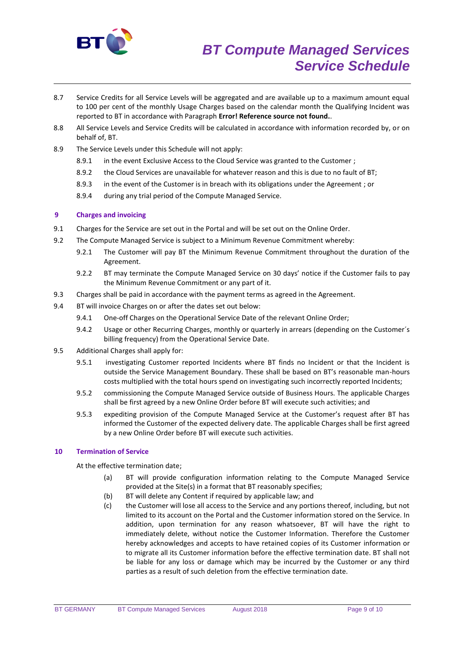

- 8.7 Service Credits for all Service Levels will be aggregated and are available up to a maximum amount equal to 100 per cent of the monthly Usage Charges based on the calendar month the Qualifying Incident was reported to BT in accordance with Paragraph **Error! Reference source not found.**.
- 8.8 All Service Levels and Service Credits will be calculated in accordance with information recorded by, or on behalf of, BT.
- 8.9 The Service Levels under this Schedule will not apply:
	- 8.9.1 in the event Exclusive Access to the Cloud Service was granted to the Customer;
	- 8.9.2 the Cloud Services are unavailable for whatever reason and this is due to no fault of BT;
	- 8.9.3 in the event of the Customer is in breach with its obligations under the Agreement ; or
	- 8.9.4 during any trial period of the Compute Managed Service.

# **9 Charges and invoicing**

- 9.1 Charges for the Service are set out in the Portal and will be set out on the Online Order.
- 9.2 The Compute Managed Service is subject to a Minimum Revenue Commitment whereby:
	- 9.2.1 The Customer will pay BT the Minimum Revenue Commitment throughout the duration of the Agreement.
	- 9.2.2 BT may terminate the Compute Managed Service on 30 days' notice if the Customer fails to pay the Minimum Revenue Commitment or any part of it.
- 9.3 Charges shall be paid in accordance with the payment terms as agreed in the Agreement.
- 9.4 BT will invoice Charges on or after the dates set out below:
	- 9.4.1 One-off Charges on the Operational Service Date of the relevant Online Order;
	- 9.4.2 Usage or other Recurring Charges, monthly or quarterly in arrears (depending on the Customer´s billing frequency) from the Operational Service Date.
- 9.5 Additional Charges shall apply for:
	- 9.5.1 investigating Customer reported Incidents where BT finds no Incident or that the Incident is outside the Service Management Boundary. These shall be based on BT's reasonable man-hours costs multiplied with the total hours spend on investigating such incorrectly reported Incidents;
	- 9.5.2 commissioning the Compute Managed Service outside of Business Hours. The applicable Charges shall be first agreed by a new Online Order before BT will execute such activities; and
	- 9.5.3 expediting provision of the Compute Managed Service at the Customer's request after BT has informed the Customer of the expected delivery date. The applicable Charges shall be first agreed by a new Online Order before BT will execute such activities.

# **10 Termination of Service**

At the effective termination date;

- (a) BT will provide configuration information relating to the Compute Managed Service provided at the Site(s) in a format that BT reasonably specifies;
- (b) BT will delete any Content if required by applicable law; and
- (c) the Customer will lose all access to the Service and any portions thereof, including, but not limited to its account on the Portal and the Customer information stored on the Service. In addition, upon termination for any reason whatsoever, BT will have the right to immediately delete, without notice the Customer Information. Therefore the Customer hereby acknowledges and accepts to have retained copies of its Customer information or to migrate all its Customer information before the effective termination date. BT shall not be liable for any loss or damage which may be incurred by the Customer or any third parties as a result of such deletion from the effective termination date.